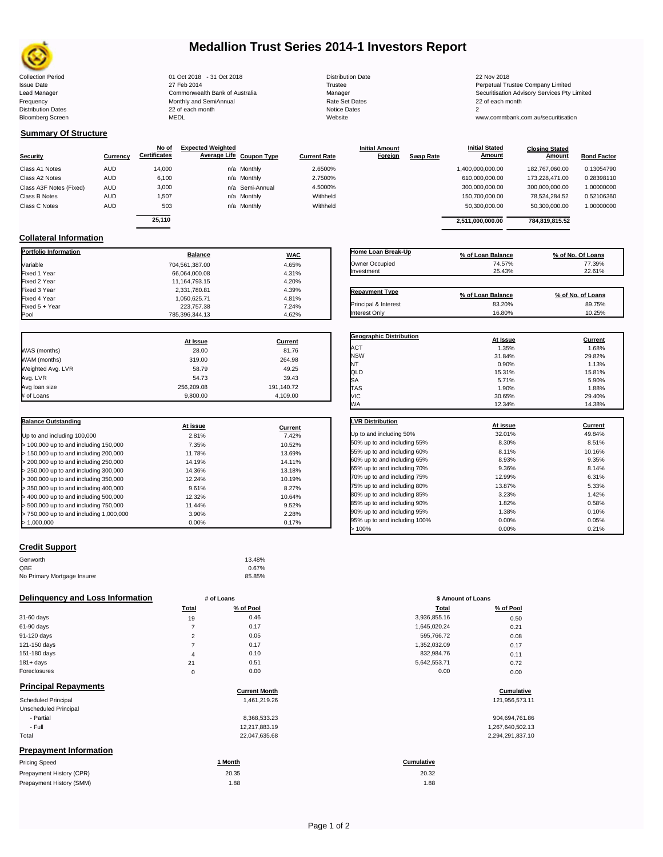

## **Medallion Trust Series 2014-1 Investors Report**

| <b>Collection Period</b>  | 01 Oct 2018 - 31 Oct 2018      | <b>Distribution Date</b> | 22 Nov 2018       |
|---------------------------|--------------------------------|--------------------------|-------------------|
| <b>Issue Date</b>         | 27 Feb 2014                    | Trustee                  | Perpetual Trustee |
| Lead Manager              | Commonwealth Bank of Australia | Manager                  | Securitisation Ad |
| Frequency                 | Monthly and SemiAnnual         | Rate Set Dates           | 22 of each month  |
| <b>Distribution Dates</b> | 22 of each month               | <b>Notice Dates</b>      |                   |
| <b>Bloomberg Screen</b>   | <b>MEDL</b>                    | Website                  | www.commbank.     |

**Collateral Information**

| <b>Bloomberg Screen</b>     | MEDL        |                              |                                                      | Website      |                                  | www.commbank.com.au/securitisation |                                        |                                 |                    |
|-----------------------------|-------------|------------------------------|------------------------------------------------------|--------------|----------------------------------|------------------------------------|----------------------------------------|---------------------------------|--------------------|
| <b>Summary Of Structure</b> |             |                              |                                                      |              |                                  |                                    |                                        |                                 |                    |
| <b>Security</b>             | Currency    | No of<br><b>Certificates</b> | <b>Expected Weighted</b><br>Average Life Coupon Type | Current Rate | <b>Initial Amount</b><br>Foreign | <b>Swap Rate</b>                   | <b>Initial Stated</b><br><b>Amount</b> | <b>Closing Stated</b><br>Amount | <b>Bond Factor</b> |
| Class A1 Notes              | <b>AUD</b>  | 14,000                       | n/a Monthly                                          | 2.6500%      |                                  |                                    | 00.000,000.00,00                       | 182.767.060.00                  | 0.13054790         |
| Class A2 Notes              | <b>ALID</b> | 6.100                        | $n/a$ Monthly                                        | 2.7500%      |                                  |                                    | 610,000,000,00                         | 173 228 471 00                  | 0.28398110         |

| Distribution I      |
|---------------------|
| Trustee             |
| Manager             |
| Rate Set Da         |
| <b>Notice Dates</b> |
| Website             |

27 Feb 2014 2014<br>Commonwealth Bank of Australia **Commonwealth Bank of Australia** Commonwealth Bank of Australia Securitisation Advisory Services Pty Limited

# **Security**

| Security                | Currencv   | <b>Certificates</b> | <b>Average Life Coupon Type</b> | Current Rate | Foreign<br>Swap Rate | <u>Amount</u>    | Amount         | <b>Bond Factor</b> |
|-------------------------|------------|---------------------|---------------------------------|--------------|----------------------|------------------|----------------|--------------------|
| Class A1 Notes          | <b>AUD</b> | 14,000              | n/a Monthly                     | 2.6500%      |                      | 1,400,000,000.00 | 182.767.060.00 | 0.13054790         |
| Class A2 Notes          | <b>AUD</b> | 6.100               | n/a Monthly                     | 2.7500%      |                      | 610.000.000.00   | 173.228.471.00 | 0.28398110         |
| Class A3F Notes (Fixed) | AUD        | 3,000               | n/a Semi-Annual                 | 4.5000%      |                      | 300,000,000.00   | 300,000,000.00 | 1.00000000         |
| Class B Notes           | AUD        | 1,507               | n/a Monthly                     | Withheld     |                      | 150.700.000.00   | 78.524.284.52  | 0.52106360         |
| Class C Notes           | AUD        | 503                 | n/a Monthly                     | Withheld     |                      | 50,300,000.00    | 50,300,000.00  | 1.00000000         |
|                         |            | 25.110              |                                 |              |                      |                  |                |                    |
|                         |            |                     |                                 |              |                      | 2.511.000.000.00 | 784.819.815.52 |                    |

**Portfolio Information Balance WAC** Variable 704,561,387.00 4.65% Fixed 1 Year 66,064,000.08 4.31% Fixed 2 Year 11,164,793.15 4.20% Fixed 3 Year 2,331,780.81 4.39%

Fixed 5 + Year 223,757.38 7.24%

| Home Loan Break-Up    | % of Loan Balance | % of No. Of Loans |
|-----------------------|-------------------|-------------------|
| Owner Occupied        | 74.57%            | 77.39%            |
| Investment            | 25.43%            | 22.61%            |
|                       |                   |                   |
| <b>Repayment Type</b> | % of Loan Palance | % of No. of Loane |

| <b>Repayment Type</b> | % of Loan Balance | % of No. of Loans |
|-----------------------|-------------------|-------------------|
| Principal & Interest  | 83.20%            | 89.75%            |
| Interest Only         | 16.80%            | 10.25%            |

**Geographic Distribution**<br> **ACT ACT ACT ACT ACT ACT ACT ACT ACT ACT ACT ACT ACT ACT ACT ACT ACT ACT ACT ACT ACT ACT ACT ACT ACT ACT ACT ACT ACT ACT** ACT 1.35% 1.68% NSW 31.84% 29.82% NT 0.90% 1.13% QLD 15.31% 15.81%

|                   | At Issue   | Current    |
|-------------------|------------|------------|
| WAS (months)      | 28.00      | 81.76      |
| WAM (months)      | 319.00     | 264.98     |
| Weighted Avg. LVR | 58.79      | 49.25      |
| Avg. LVR          | 54.73      | 39.43      |
| Avg loan size     | 256.209.08 | 191,140.72 |
| # of Loans        | 9.800.00   | 4.109.00   |

785,396,344.13

1,050,625.71 4.81%<br>223,757.38 7.24%

| <b>Balance Outstanding</b>              |          |         |
|-----------------------------------------|----------|---------|
|                                         | At issue | Current |
| Up to and including 100,000             | 2.81%    | 7.42%   |
| $>$ 100,000 up to and including 150,000 | 7.35%    | 10.52%  |
| $>$ 150,000 up to and including 200,000 | 11.78%   | 13.69%  |
| > 200,000 up to and including 250,000   | 14.19%   | 14.11%  |
| $>$ 250,000 up to and including 300,000 | 14.36%   | 13.18%  |
| $>$ 300,000 up to and including 350,000 | 12.24%   | 10.19%  |
| $>$ 350,000 up to and including 400,000 | 9.61%    | 8.27%   |
| > 400,000 up to and including 500,000   | 12.32%   | 10.64%  |
| > 500,000 up to and including 750,000   | 11.44%   | 9.52%   |
| > 750,000 up to and including 1,000,000 | 3.90%    | 2.28%   |
| > 1.000.000                             | 0.00%    | 0.17%   |

| SА                           | 5.71%    | 5.90%   |
|------------------------------|----------|---------|
| <b>TAS</b>                   | 1.90%    | 1.88%   |
| VIC                          | 30.65%   | 29.40%  |
| WА                           | 12.34%   | 14.38%  |
| <b>LVR Distribution</b>      | At issue | Current |
| Up to and including 50%      | 32.01%   | 49.84%  |
| 50% up to and including 55%  | 8.30%    | 8.51%   |
| 55% up to and including 60%  | 8.11%    | 10.16%  |
| 60% up to and including 65%  | 8.93%    | 9.35%   |
| 65% up to and including 70%  | 9.36%    | 8.14%   |
| 70% up to and including 75%  | 12.99%   | 6.31%   |
| 75% up to and including 80%  | 13.87%   | 5.33%   |
| 80% up to and including 85%  | 3.23%    | 1.42%   |
| 85% up to and including 90%  | 1.82%    | 0.58%   |
| 90% up to and including 95%  | 1.38%    | 0.10%   |
| 95% up to and including 100% | 0.00%    | 0.05%   |

 $> 100\%$  0.21% 0.21% 0.21%

### **Credit Support**

| Genworth                    | 13.48% |
|-----------------------------|--------|
| OBE                         | 0.67%  |
| No Primary Mortgage Insurer | 85.85% |

## **Delinquency and Loss Information # of Loans**

|              | Total  | % of Pool | Total        | % of Pool |
|--------------|--------|-----------|--------------|-----------|
| 31-60 days   | 19     | 0.46      | 3,936,855.16 | 0.50      |
| 61-90 days   |        | 0.17      | 1,645,020.24 | 0.21      |
| 91-120 days  | $\sim$ | 0.05      | 595,766.72   | 0.08      |
| 121-150 days |        | 0.17      | 1,352,032.09 | 0.17      |
| 151-180 days | 4      | 0.10      | 832,984.76   | 0.11      |
| $181 + days$ | 21     | 0.51      | 5,642,553.71 | 0.72      |
| Foreclosures | 0      | 0.00      | 0.00         | 0.00      |

## **Principal Repayments**

| <b>Principal Repayments</b>   | <b>Current Month</b> | Cumulative       |
|-------------------------------|----------------------|------------------|
| Scheduled Principal           | 1,461,219.26         | 121,956,573.11   |
| Unscheduled Principal         |                      |                  |
| - Partial                     | 8,368,533.23         | 904,694,761.86   |
| - Full                        | 12,217,883.19        | 1,267,640,502.13 |
| Total                         | 22.047.635.68        | 2,294,291,837.10 |
| <b>Prepayment Information</b> |                      |                  |
| <b>Pricing Speed</b>          | 1 Month              | Cumulative       |

| Prepayment History (CPR) | 20.35 | 20.32 |
|--------------------------|-------|-------|
| Prepayment History (SMM) | 1.88  | .88   |

|                | # of Loans |              | \$ Amount of Loans |
|----------------|------------|--------------|--------------------|
| Total          | % of Pool  | Total        | % of Pool          |
| 19             | 0.46       | 3,936,855.16 | 0.50               |
| 7              | 0.17       | 1,645,020.24 | 0.21               |
| $\overline{2}$ | 0.05       | 595,766.72   | 0.08               |
| 7              | 0.17       | 1,352,032.09 | 0.17               |
| $\overline{4}$ | 0.10       | 832,984.76   | 0.11               |
| 21             | 0.51       | 5,642,553.71 | 0.72               |
| $\mathbf 0$    | 0.00       | 0.00         | 0.00               |

# **Current Month Cumulative**

| 904.694.761.86   |
|------------------|
| 1,267,640,502.13 |
| 2.294.291.837.10 |

20.32